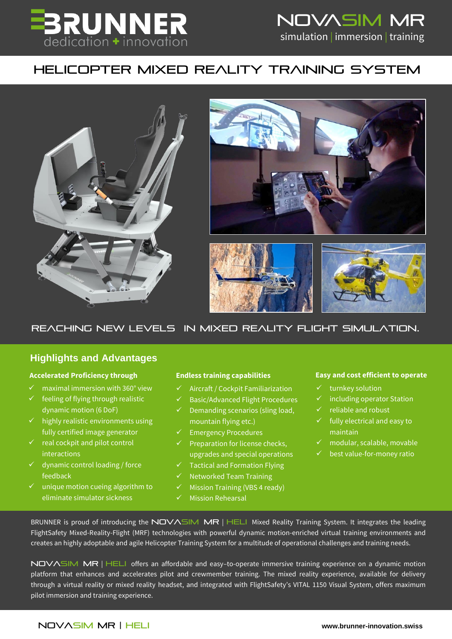

# NOVASIM MR simulation | immersion | training

## HELICOPTER MIXED REALITY TRAINING SYSTEM



### Reaching NEW LEVELS IN MIXED REALITY FLIGHT SIMULATION.

### **Highlights and Advantages**

- $\checkmark$  maximal immersion with 360° view
- feeling of flying through realistic dynamic motion (6 DoF)
- $\checkmark$  highly realistic environments using fully certified image generator
- $\checkmark$  real cockpit and pilot control interactions
- $\checkmark$  dynamic control loading / force feedback
- $\checkmark$  unique motion cueing algorithm to eliminate simulator sickness

- $\checkmark$  Aircraft / Cockpit Familiarization
- Basic/Advanced Flight Procedures
- $\checkmark$  Demanding scenarios (sling load, mountain flying etc.)
- $\checkmark$  Emergency Procedures
- $\checkmark$  Preparation for license checks, upgrades and special operations
- $\checkmark$  Tactical and Formation Flying
- Networked Team Training
- $\checkmark$  Mission Training (VBS 4 ready)
- Mission Rehearsal

### **Accelerated Proficiency through Endless training capabilities Easy and cost efficient to operate**

- **A wide spectrum of operational challenges.**  turnkey solution
- **And a training system, that easily adopts and**  including operator Station
	- **provides Superior training values** of the superior of the superior of the superior of the superior of the superior of the superior of the superior of the superior of the superior of the superior of the superior of the sup
		- $\checkmark$  fully electrical and easy to maintain
		- modular, scalable, movable
		- best value-for-money ratio

BRUNNER is proud of introducing the NOVASIM MR | HELI Mixed Reality Training System. It integrates the leading FlightSafety Mixed-Reality-Flight (MRF) technologies with powerful dynamic motion-enriched virtual training environments and creates an highly adoptable and agile Helicopter Training System for a multitude of operational challenges and training needs.

NOVASIM MR | HELI offers an affordable and easy-to-operate immersive training experience on a dynamic motion platform that enhances and accelerates pilot and crewmember training. The mixed reality experience, available for delivery through a virtual reality or mixed reality headset, and integrated with FlightSafety's VITAL 1150 Visual System, offers maximum pilot immersion and training experience.

### NOVaSIM MR | HELI **[www.brunner-innovation.swiss](http://www.brunner-innovation.swiss/)**